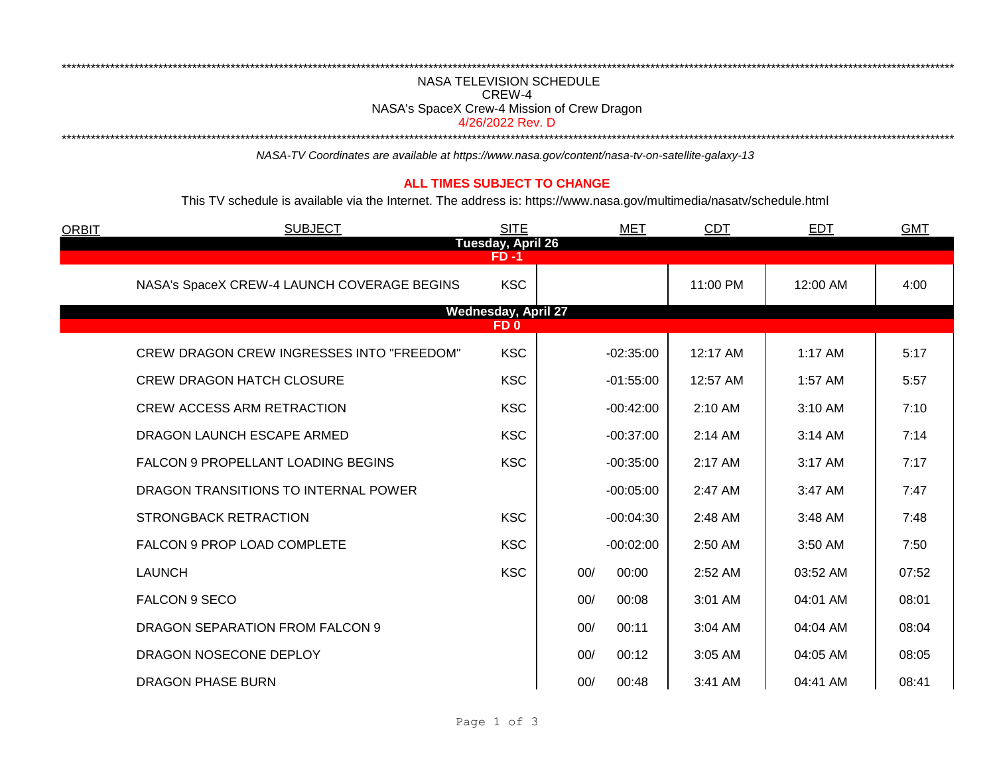## NASA TELEVISION SCHEDULE CREW-4 NASA's SpaceX Crew-4 Mission of Crew Dragon

\*\*\*\*\*\*\*\*\*\*\*\*\*\*\*\*\*\*\*\*\*\*\*\*\*\*\*\*\*\*\*\*\*\*\*\*\*\*\*\*\*\*\*\*\*\*\*\*\*\*\*\*\*\*\*\*\*\*\*\*\*\*\*\*\*\*\*\*\*\*\*\*\*\*\*\*\*\*\*\*\*\*\*\*\*\*\*\*\*\*\*\*\*\*\*\*\*\*\*\*\*\*\*\*\*\*\*\*\*\*\*\*\*\*\*\*\*\*\*\*\*\*\*\*\*\*\*\*\*\*\*\*\*\*\*\*\*\*\*\*\*\*\*\*\*\*\*\*\*\*\*\*\*\*\*\*\*\*\*\*\*\*\*\*\*\*\*\*\*\*\*\*\*\*\*\*\*\*\*\*\*\*\*\*\*

4/26/2022 Rev. D

\*\*\*\*\*\*\*\*\*\*\*\*\*\*\*\*\*\*\*\*\*\*\*\*\*\*\*\*\*\*\*\*\*\*\*\*\*\*\*\*\*\*\*\*\*\*\*\*\*\*\*\*\*\*\*\*\*\*\*\*\*\*\*\*\*\*\*\*\*\*\*\*\*\*\*\*\*\*\*\*\*\*\*\*\*\*\*\*\*\*\*\*\*\*\*\*\*\*\*\*\*\*\*\*\*\*\*\*\*\*\*\*\*\*\*\*\*\*\*\*\*\*\*\*\*\*\*\*\*\*\*\*\*\*\*\*\*\*\*\*\*\*\*\*\*\*\*\*\*\*\*\*\*\*\*\*\*\*\*\*\*\*\*\*\*\*\*\*\*\*\*\*\*\*\*\*\*\*\*\*\*\*\*\*\*

*NASA-TV Coordinates are available at https://www.nasa.gov/content/nasa-tv-on-satellite-galaxy-13*

## **ALL TIMES SUBJECT TO CHANGE**

This TV schedule is available via the Internet. The address is: https://www.nasa.gov/multimedia/nasatv/schedule.html

| <b>ORBIT</b>                                  | <b>SUBJECT</b>                                   | <b>SITE</b> |     | <b>MET</b>  | <b>CDT</b> | <b>EDT</b> | <b>GMT</b> |  |  |  |
|-----------------------------------------------|--------------------------------------------------|-------------|-----|-------------|------------|------------|------------|--|--|--|
| Tuesday, April 26<br>$FD - 1$                 |                                                  |             |     |             |            |            |            |  |  |  |
|                                               | NASA's SpaceX CREW-4 LAUNCH COVERAGE BEGINS      | <b>KSC</b>  |     |             | 11:00 PM   | 12:00 AM   | 4:00       |  |  |  |
| <b>Wednesday, April 27</b><br>FD <sub>0</sub> |                                                  |             |     |             |            |            |            |  |  |  |
|                                               | <b>CREW DRAGON CREW INGRESSES INTO "FREEDOM"</b> | <b>KSC</b>  |     | $-02:35:00$ | 12:17 AM   | 1:17 AM    | 5:17       |  |  |  |
|                                               | <b>CREW DRAGON HATCH CLOSURE</b>                 | <b>KSC</b>  |     | $-01:55:00$ | 12:57 AM   | 1:57 AM    | 5:57       |  |  |  |
|                                               | <b>CREW ACCESS ARM RETRACTION</b>                | <b>KSC</b>  |     | $-00:42:00$ | 2:10 AM    | 3:10 AM    | 7:10       |  |  |  |
|                                               | DRAGON LAUNCH ESCAPE ARMED                       | <b>KSC</b>  |     | $-00:37:00$ | 2:14 AM    | 3:14 AM    | 7:14       |  |  |  |
|                                               | FALCON 9 PROPELLANT LOADING BEGINS               | <b>KSC</b>  |     | $-00:35:00$ | 2:17 AM    | 3:17 AM    | 7:17       |  |  |  |
|                                               | DRAGON TRANSITIONS TO INTERNAL POWER             |             |     | $-00:05:00$ | 2:47 AM    | 3:47 AM    | 7:47       |  |  |  |
|                                               | <b>STRONGBACK RETRACTION</b>                     | <b>KSC</b>  |     | $-00:04:30$ | 2:48 AM    | 3:48 AM    | 7:48       |  |  |  |
|                                               | FALCON 9 PROP LOAD COMPLETE                      | <b>KSC</b>  |     | $-00:02:00$ | 2:50 AM    | 3:50 AM    | 7:50       |  |  |  |
|                                               | <b>LAUNCH</b>                                    | <b>KSC</b>  | 00/ | 00:00       | 2:52 AM    | 03:52 AM   | 07:52      |  |  |  |
|                                               | FALCON 9 SECO                                    |             | 00/ | 00:08       | 3:01 AM    | 04:01 AM   | 08:01      |  |  |  |
|                                               | DRAGON SEPARATION FROM FALCON 9                  |             | 00/ | 00:11       | 3:04 AM    | 04:04 AM   | 08:04      |  |  |  |
|                                               | DRAGON NOSECONE DEPLOY                           |             | 00/ | 00:12       | 3:05 AM    | 04:05 AM   | 08:05      |  |  |  |
|                                               | <b>DRAGON PHASE BURN</b>                         |             | 00/ | 00:48       | 3:41 AM    | 04:41 AM   | 08:41      |  |  |  |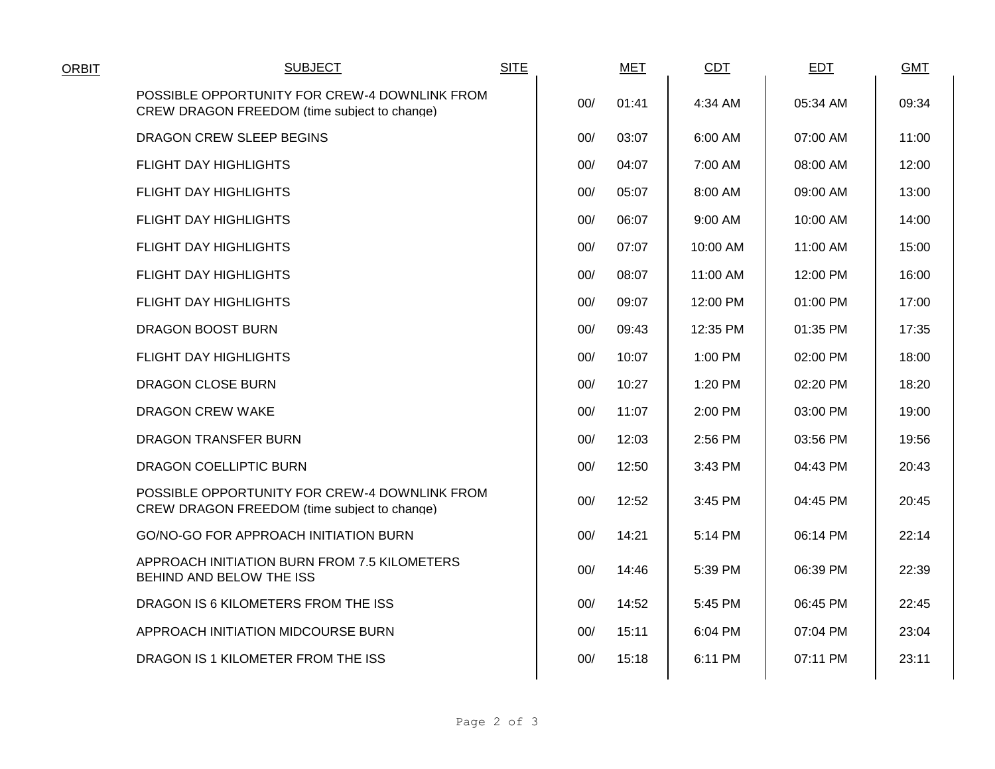| <b>ORBIT</b> | <b>SUBJECT</b>                                                                                | <b>SITE</b> |     | <b>MET</b> | <b>CDT</b> | <b>EDT</b> | <b>GMT</b> |
|--------------|-----------------------------------------------------------------------------------------------|-------------|-----|------------|------------|------------|------------|
|              | POSSIBLE OPPORTUNITY FOR CREW-4 DOWNLINK FROM<br>CREW DRAGON FREEDOM (time subject to change) |             | 00/ | 01:41      | 4:34 AM    | 05:34 AM   | 09:34      |
|              | DRAGON CREW SLEEP BEGINS                                                                      |             | 00/ | 03:07      | 6:00 AM    | 07:00 AM   | 11:00      |
|              | <b>FLIGHT DAY HIGHLIGHTS</b>                                                                  |             | 00/ | 04:07      | 7:00 AM    | 08:00 AM   | 12:00      |
|              | <b>FLIGHT DAY HIGHLIGHTS</b>                                                                  |             | 00/ | 05:07      | 8:00 AM    | 09:00 AM   | 13:00      |
|              | <b>FLIGHT DAY HIGHLIGHTS</b>                                                                  |             | 00/ | 06:07      | 9:00 AM    | 10:00 AM   | 14:00      |
|              | <b>FLIGHT DAY HIGHLIGHTS</b>                                                                  |             | 00/ | 07:07      | 10:00 AM   | 11:00 AM   | 15:00      |
|              | <b>FLIGHT DAY HIGHLIGHTS</b>                                                                  |             | 00/ | 08:07      | 11:00 AM   | 12:00 PM   | 16:00      |
|              | <b>FLIGHT DAY HIGHLIGHTS</b>                                                                  |             | 00/ | 09:07      | 12:00 PM   | 01:00 PM   | 17:00      |
|              | DRAGON BOOST BURN                                                                             |             | 00/ | 09:43      | 12:35 PM   | 01:35 PM   | 17:35      |
|              | <b>FLIGHT DAY HIGHLIGHTS</b>                                                                  |             | 00/ | 10:07      | 1:00 PM    | 02:00 PM   | 18:00      |
|              | DRAGON CLOSE BURN                                                                             |             | 00/ | 10:27      | 1:20 PM    | 02:20 PM   | 18:20      |
|              | DRAGON CREW WAKE                                                                              |             | 00/ | 11:07      | 2:00 PM    | 03:00 PM   | 19:00      |
|              | DRAGON TRANSFER BURN                                                                          |             | 00/ | 12:03      | 2:56 PM    | 03:56 PM   | 19:56      |
|              | DRAGON COELLIPTIC BURN                                                                        |             | 00/ | 12:50      | 3:43 PM    | 04:43 PM   | 20:43      |
|              | POSSIBLE OPPORTUNITY FOR CREW-4 DOWNLINK FROM<br>CREW DRAGON FREEDOM (time subject to change) |             | 00/ | 12:52      | 3:45 PM    | 04:45 PM   | 20:45      |
|              | GO/NO-GO FOR APPROACH INITIATION BURN                                                         |             | 00/ | 14:21      | 5:14 PM    | 06:14 PM   | 22:14      |
|              | APPROACH INITIATION BURN FROM 7.5 KILOMETERS<br>BEHIND AND BELOW THE ISS                      |             | 00/ | 14:46      | 5:39 PM    | 06:39 PM   | 22:39      |
|              | DRAGON IS 6 KILOMETERS FROM THE ISS                                                           |             | 00/ | 14:52      | 5:45 PM    | 06:45 PM   | 22:45      |
|              | APPROACH INITIATION MIDCOURSE BURN                                                            |             | 00/ | 15:11      | 6:04 PM    | 07:04 PM   | 23:04      |
|              | DRAGON IS 1 KILOMETER FROM THE ISS                                                            |             | 00/ | 15:18      | 6:11 PM    | 07:11 PM   | 23:11      |
|              |                                                                                               |             |     |            |            |            |            |